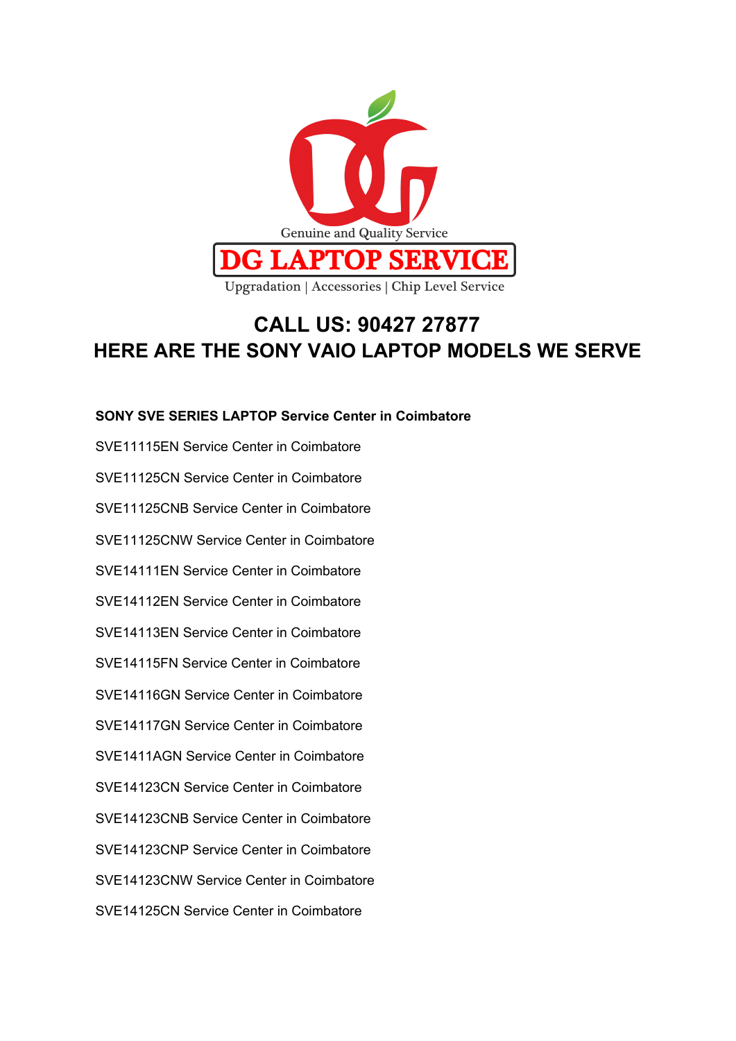

### **CALL US: 90427 27877 HERE ARE THE SONY VAIO LAPTOP MODELS WE SERVE**

### **SONY SVE SERIES LAPTOP Service Center in Coimbatore**

SVE11115EN Service Center in Coimbatore SVE11125CN Service Center in Coimbatore SVE11125CNB Service Center in Coimbatore SVE11125CNW Service Center in Coimbatore SVE14111EN Service Center in Coimbatore SVE14112EN Service Center in Coimbatore SVE14113EN Service Center in Coimbatore SVE14115FN Service Center in Coimbatore SVE14116GN Service Center in Coimbatore SVE14117GN Service Center in Coimbatore SVE1411AGN Service Center in Coimbatore SVE14123CN Service Center in Coimbatore SVE14123CNB Service Center in Coimbatore SVE14123CNP Service Center in Coimbatore SVE14123CNW Service Center in Coimbatore SVE14125CN Service Center in Coimbatore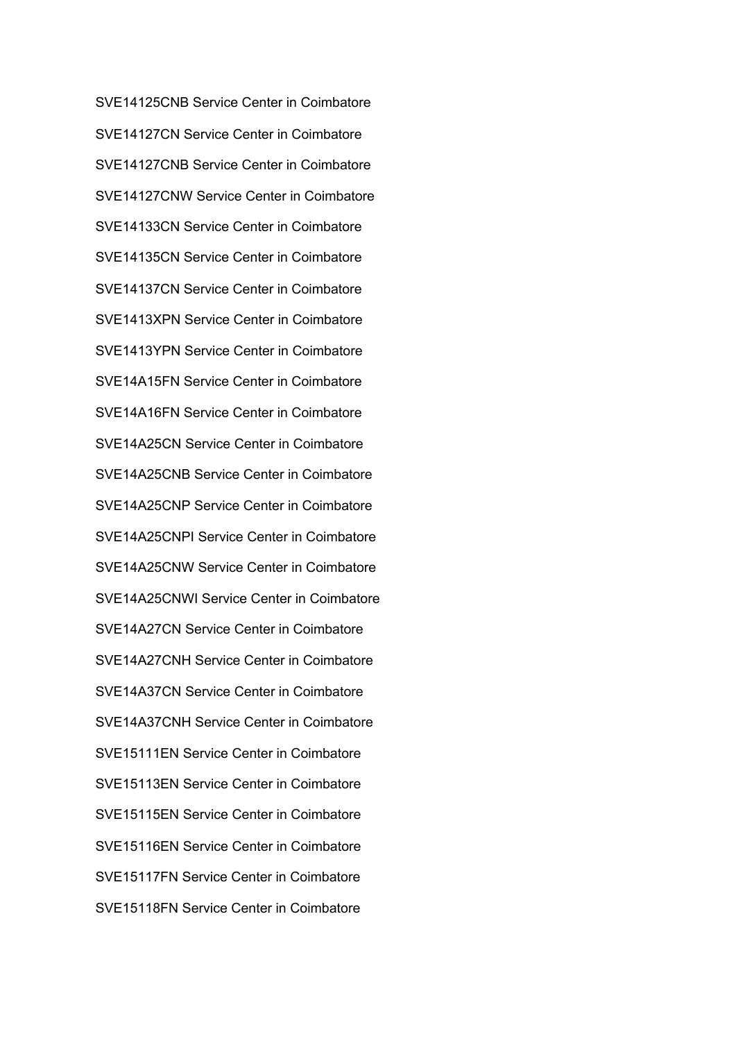SVE14125CNB Service Center in Coimbatore SVE14127CN Service Center in Coimbatore SVE14127CNB Service Center in Coimbatore SVE14127CNW Service Center in Coimbatore SVE14133CN Service Center in Coimbatore SVE14135CN Service Center in Coimbatore SVE14137CN Service Center in Coimbatore SVE1413XPN Service Center in Coimbatore SVE1413YPN Service Center in Coimbatore SVE14A15FN Service Center in Coimbatore SVE14A16FN Service Center in Coimbatore SVE14A25CN Service Center in Coimbatore SVE14A25CNB Service Center in Coimbatore SVE14A25CNP Service Center in Coimbatore SVE14A25CNPI Service Center in Coimbatore SVE14A25CNW Service Center in Coimbatore SVE14A25CNWI Service Center in Coimbatore SVE14A27CN Service Center in Coimbatore SVE14A27CNH Service Center in Coimbatore SVE14A37CN Service Center in Coimbatore SVE14A37CNH Service Center in Coimbatore SVE15111EN Service Center in Coimbatore SVE15113EN Service Center in Coimbatore SVE15115EN Service Center in Coimbatore SVE15116EN Service Center in Coimbatore SVE15117FN Service Center in Coimbatore SVE15118FN Service Center in Coimbatore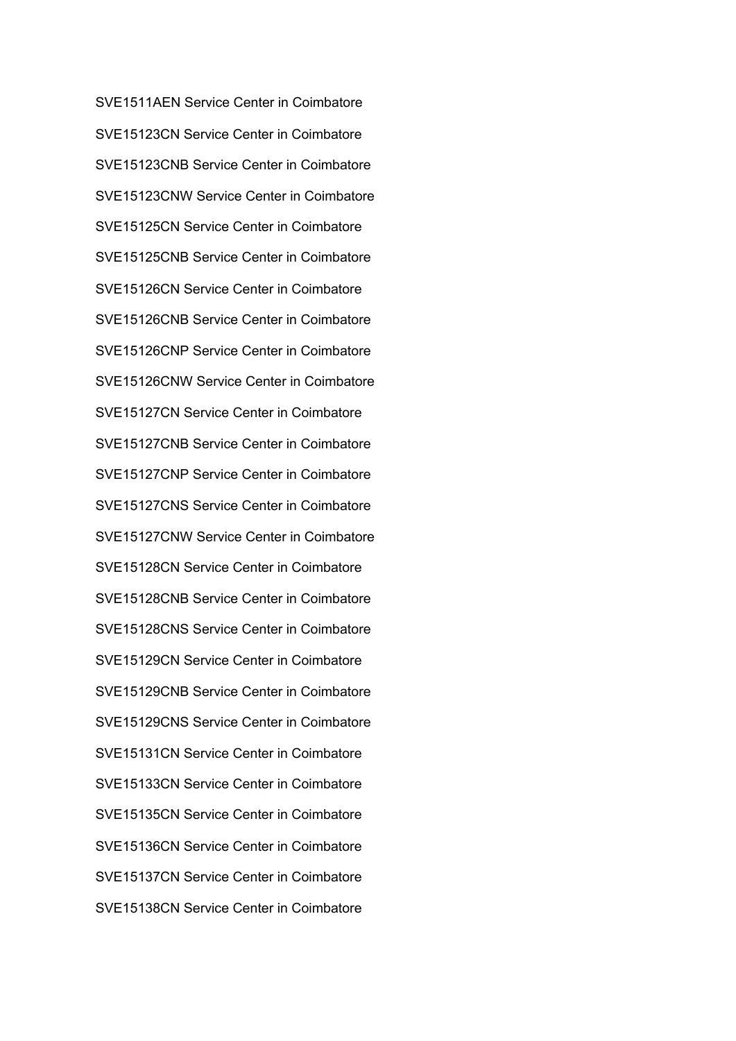SVE1511AEN Service Center in Coimbatore SVE15123CN Service Center in Coimbatore SVE15123CNB Service Center in Coimbatore SVE15123CNW Service Center in Coimbatore SVE15125CN Service Center in Coimbatore SVE15125CNB Service Center in Coimbatore SVE15126CN Service Center in Coimbatore SVE15126CNB Service Center in Coimbatore SVE15126CNP Service Center in Coimbatore SVE15126CNW Service Center in Coimbatore SVE15127CN Service Center in Coimbatore SVE15127CNB Service Center in Coimbatore SVE15127CNP Service Center in Coimbatore SVE15127CNS Service Center in Coimbatore SVE15127CNW Service Center in Coimbatore SVE15128CN Service Center in Coimbatore SVE15128CNB Service Center in Coimbatore SVE15128CNS Service Center in Coimbatore SVE15129CN Service Center in Coimbatore SVE15129CNB Service Center in Coimbatore SVE15129CNS Service Center in Coimbatore SVE15131CN Service Center in Coimbatore SVE15133CN Service Center in Coimbatore SVE15135CN Service Center in Coimbatore SVE15136CN Service Center in Coimbatore SVE15137CN Service Center in Coimbatore SVE15138CN Service Center in Coimbatore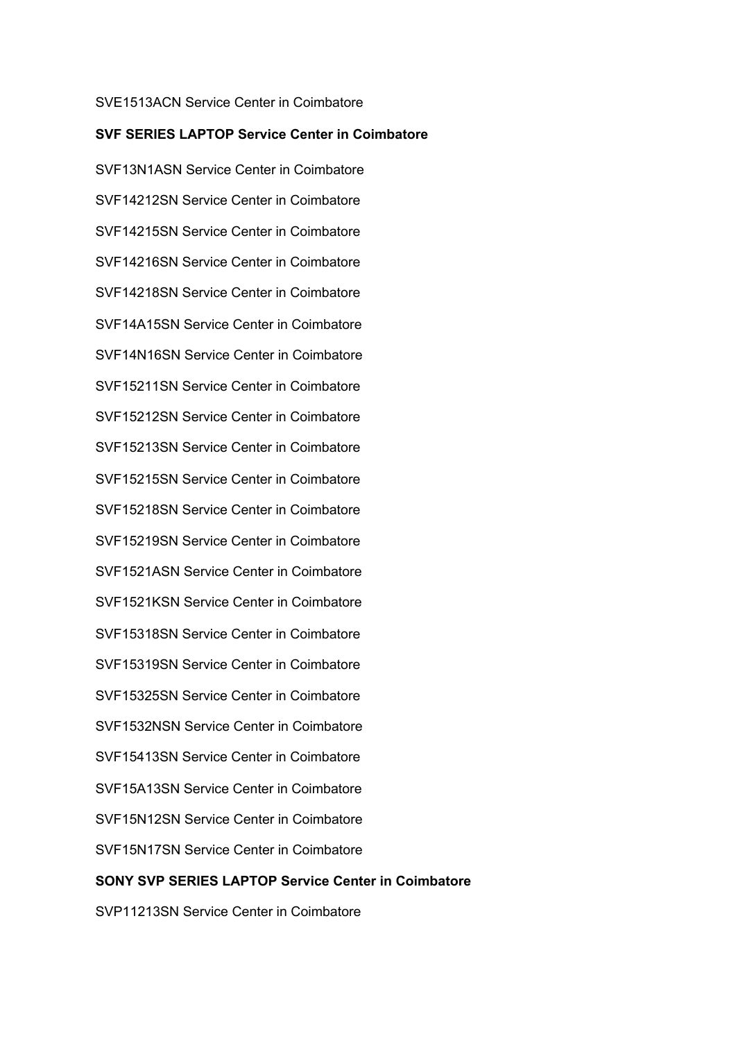### SVE1513ACN Service Center in Coimbatore

#### **SVF SERIES LAPTOP Service Center in Coimbatore**

SVF13N1ASN Service Center in Coimbatore SVF14212SN Service Center in Coimbatore SVF14215SN Service Center in Coimbatore SVF14216SN Service Center in Coimbatore SVF14218SN Service Center in Coimbatore SVF14A15SN Service Center in Coimbatore SVF14N16SN Service Center in Coimbatore SVF15211SN Service Center in Coimbatore SVF15212SN Service Center in Coimbatore SVF15213SN Service Center in Coimbatore SVF15215SN Service Center in Coimbatore SVF15218SN Service Center in Coimbatore SVF15219SN Service Center in Coimbatore SVF1521ASN Service Center in Coimbatore SVF1521KSN Service Center in Coimbatore SVF15318SN Service Center in Coimbatore SVF15319SN Service Center in Coimbatore SVF15325SN Service Center in Coimbatore SVF1532NSN Service Center in Coimbatore SVF15413SN Service Center in Coimbatore SVF15A13SN Service Center in Coimbatore SVF15N12SN Service Center in Coimbatore SVF15N17SN Service Center in Coimbatore **SONY SVP SERIES LAPTOP Service Center in Coimbatore**

SVP11213SN Service Center in Coimbatore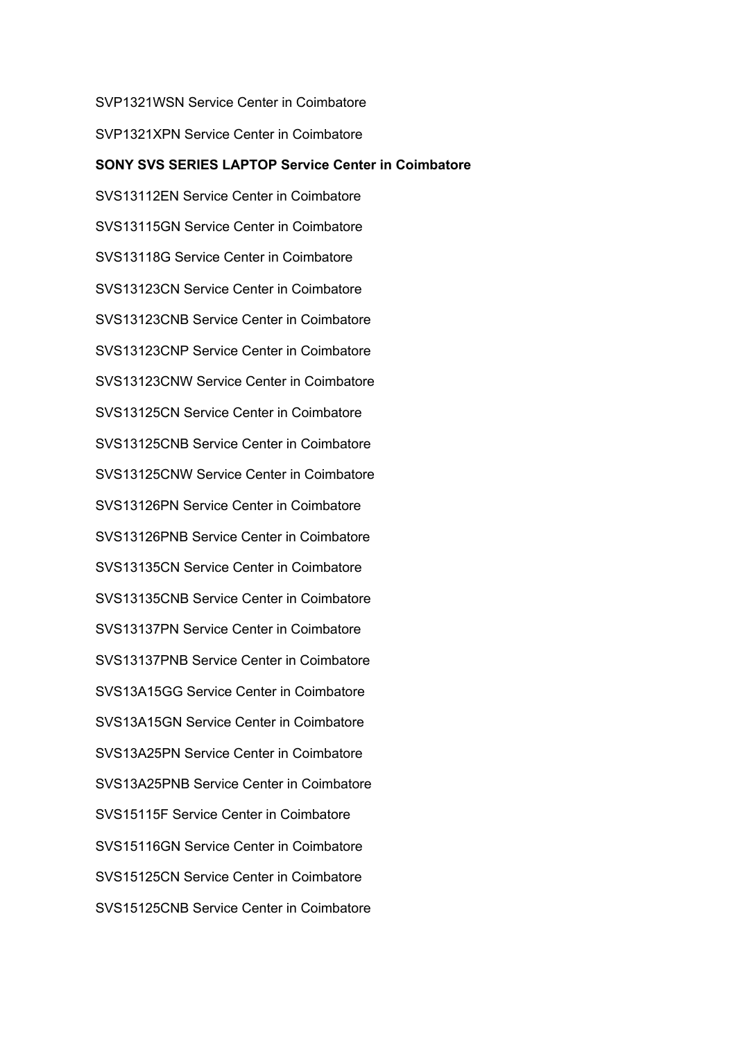SVP1321WSN Service Center in Coimbatore

SVP1321XPN Service Center in Coimbatore

# **SONY SVS SERIES LAPTOP Service Center in Coimbatore** SVS13112EN Service Center in Coimbatore SVS13115GN Service Center in Coimbatore SVS13118G Service Center in Coimbatore SVS13123CN Service Center in Coimbatore SVS13123CNB Service Center in Coimbatore SVS13123CNP Service Center in Coimbatore SVS13123CNW Service Center in Coimbatore SVS13125CN Service Center in Coimbatore SVS13125CNB Service Center in Coimbatore SVS13125CNW Service Center in Coimbatore SVS13126PN Service Center in Coimbatore SVS13126PNB Service Center in Coimbatore SVS13135CN Service Center in Coimbatore SVS13135CNB Service Center in Coimbatore SVS13137PN Service Center in Coimbatore SVS13137PNB Service Center in Coimbatore SVS13A15GG Service Center in Coimbatore SVS13A15GN Service Center in Coimbatore SVS13A25PN Service Center in Coimbatore SVS13A25PNB Service Center in Coimbatore SVS15115F Service Center in Coimbatore SVS15116GN Service Center in Coimbatore SVS15125CN Service Center in Coimbatore SVS15125CNB Service Center in Coimbatore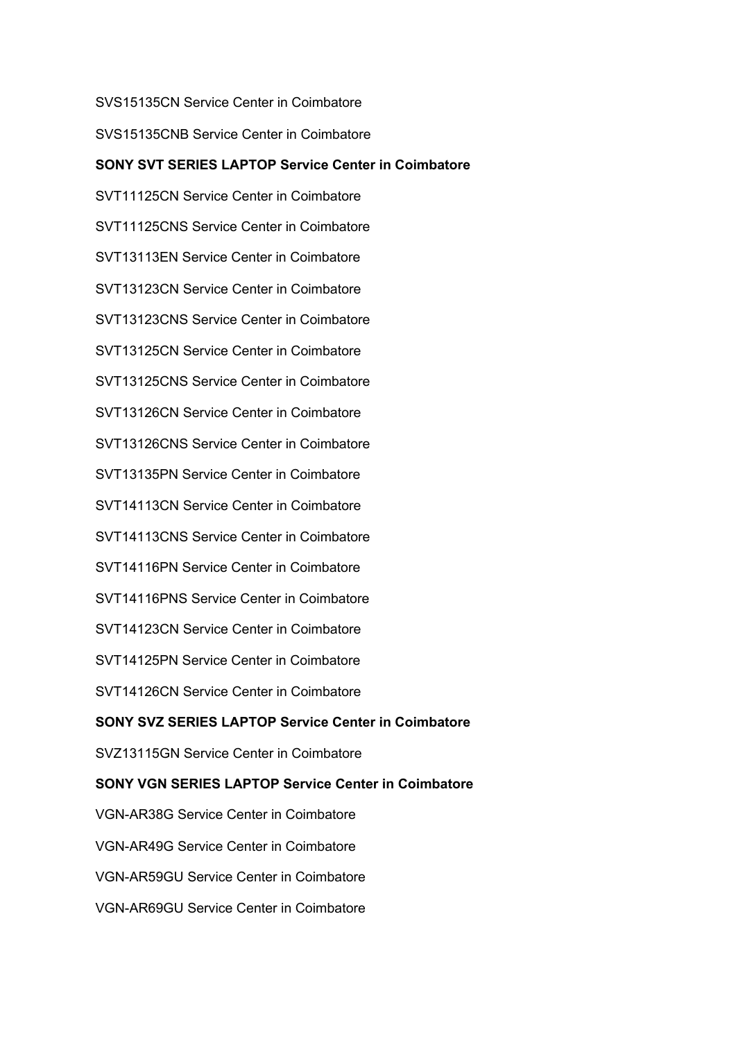SVS15135CN Service Center in Coimbatore

SVS15135CNB Service Center in Coimbatore

### **SONY SVT SERIES LAPTOP Service Center in Coimbatore**

SVT11125CN Service Center in Coimbatore SVT11125CNS Service Center in Coimbatore SVT13113EN Service Center in Coimbatore SVT13123CN Service Center in Coimbatore SVT13123CNS Service Center in Coimbatore SVT13125CN Service Center in Coimbatore SVT13125CNS Service Center in Coimbatore SVT13126CN Service Center in Coimbatore SVT13126CNS Service Center in Coimbatore SVT13135PN Service Center in Coimbatore SVT14113CN Service Center in Coimbatore SVT14113CNS Service Center in Coimbatore SVT14116PN Service Center in Coimbatore SVT14116PNS Service Center in Coimbatore SVT14123CN Service Center in Coimbatore SVT14125PN Service Center in Coimbatore SVT14126CN Service Center in Coimbatore **SONY SVZ SERIES LAPTOP Service Center in Coimbatore** SVZ13115GN Service Center in Coimbatore **SONY VGN SERIES LAPTOP Service Center in Coimbatore** VGN-AR38G Service Center in Coimbatore VGN-AR49G Service Center in Coimbatore VGN-AR59GU Service Center in Coimbatore VGN-AR69GU Service Center in Coimbatore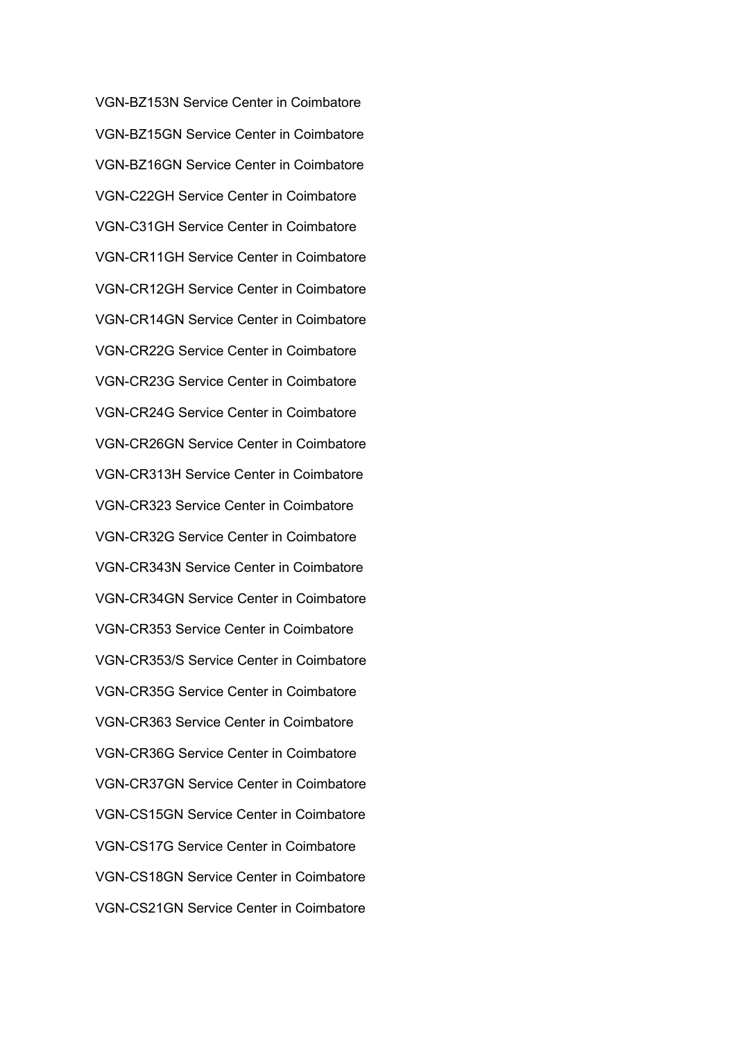VGN-BZ153N Service Center in Coimbatore VGN-BZ15GN Service Center in Coimbatore VGN-BZ16GN Service Center in Coimbatore VGN-C22GH Service Center in Coimbatore VGN-C31GH Service Center in Coimbatore VGN-CR11GH Service Center in Coimbatore VGN-CR12GH Service Center in Coimbatore VGN-CR14GN Service Center in Coimbatore VGN-CR22G Service Center in Coimbatore VGN-CR23G Service Center in Coimbatore VGN-CR24G Service Center in Coimbatore VGN-CR26GN Service Center in Coimbatore VGN-CR313H Service Center in Coimbatore VGN-CR323 Service Center in Coimbatore VGN-CR32G Service Center in Coimbatore VGN-CR343N Service Center in Coimbatore VGN-CR34GN Service Center in Coimbatore VGN-CR353 Service Center in Coimbatore VGN-CR353/S Service Center in Coimbatore VGN-CR35G Service Center in Coimbatore VGN-CR363 Service Center in Coimbatore VGN-CR36G Service Center in Coimbatore VGN-CR37GN Service Center in Coimbatore VGN-CS15GN Service Center in Coimbatore VGN-CS17G Service Center in Coimbatore VGN-CS18GN Service Center in Coimbatore VGN-CS21GN Service Center in Coimbatore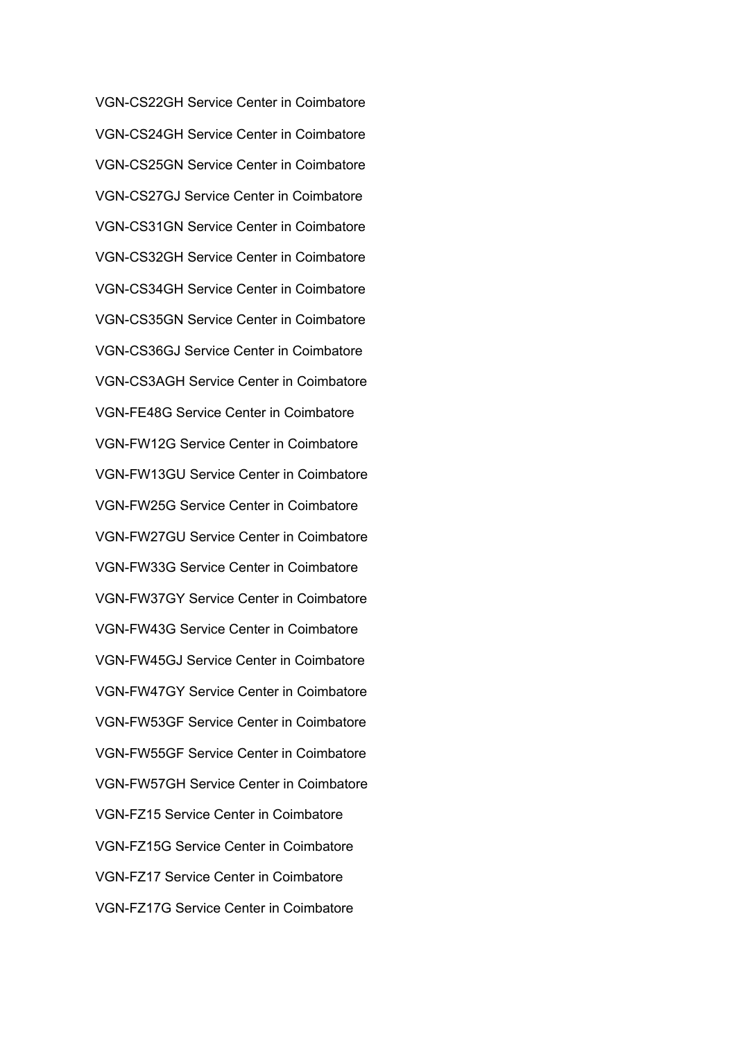VGN-CS22GH Service Center in Coimbatore VGN-CS24GH Service Center in Coimbatore VGN-CS25GN Service Center in Coimbatore VGN-CS27GJ Service Center in Coimbatore VGN-CS31GN Service Center in Coimbatore VGN-CS32GH Service Center in Coimbatore VGN-CS34GH Service Center in Coimbatore VGN-CS35GN Service Center in Coimbatore VGN-CS36GJ Service Center in Coimbatore VGN-CS3AGH Service Center in Coimbatore VGN-FE48G Service Center in Coimbatore VGN-FW12G Service Center in Coimbatore VGN-FW13GU Service Center in Coimbatore VGN-FW25G Service Center in Coimbatore VGN-FW27GU Service Center in Coimbatore VGN-FW33G Service Center in Coimbatore VGN-FW37GY Service Center in Coimbatore VGN-FW43G Service Center in Coimbatore VGN-FW45GJ Service Center in Coimbatore VGN-FW47GY Service Center in Coimbatore VGN-FW53GF Service Center in Coimbatore VGN-FW55GF Service Center in Coimbatore VGN-FW57GH Service Center in Coimbatore VGN-FZ15 Service Center in Coimbatore VGN-FZ15G Service Center in Coimbatore VGN-FZ17 Service Center in Coimbatore VGN-FZ17G Service Center in Coimbatore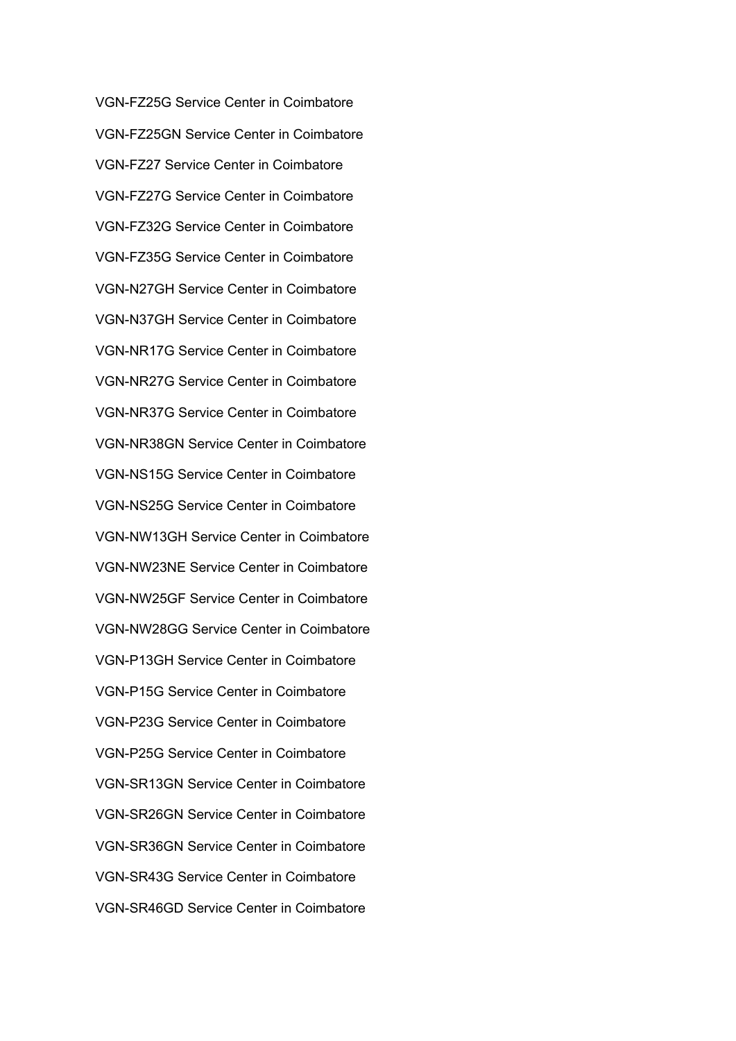VGN-FZ25G Service Center in Coimbatore VGN-FZ25GN Service Center in Coimbatore VGN-FZ27 Service Center in Coimbatore VGN-FZ27G Service Center in Coimbatore VGN-FZ32G Service Center in Coimbatore VGN-FZ35G Service Center in Coimbatore VGN-N27GH Service Center in Coimbatore VGN-N37GH Service Center in Coimbatore VGN-NR17G Service Center in Coimbatore VGN-NR27G Service Center in Coimbatore VGN-NR37G Service Center in Coimbatore VGN-NR38GN Service Center in Coimbatore VGN-NS15G Service Center in Coimbatore VGN-NS25G Service Center in Coimbatore VGN-NW13GH Service Center in Coimbatore VGN-NW23NE Service Center in Coimbatore VGN-NW25GF Service Center in Coimbatore VGN-NW28GG Service Center in Coimbatore VGN-P13GH Service Center in Coimbatore VGN-P15G Service Center in Coimbatore VGN-P23G Service Center in Coimbatore VGN-P25G Service Center in Coimbatore VGN-SR13GN Service Center in Coimbatore VGN-SR26GN Service Center in Coimbatore VGN-SR36GN Service Center in Coimbatore VGN-SR43G Service Center in Coimbatore VGN-SR46GD Service Center in Coimbatore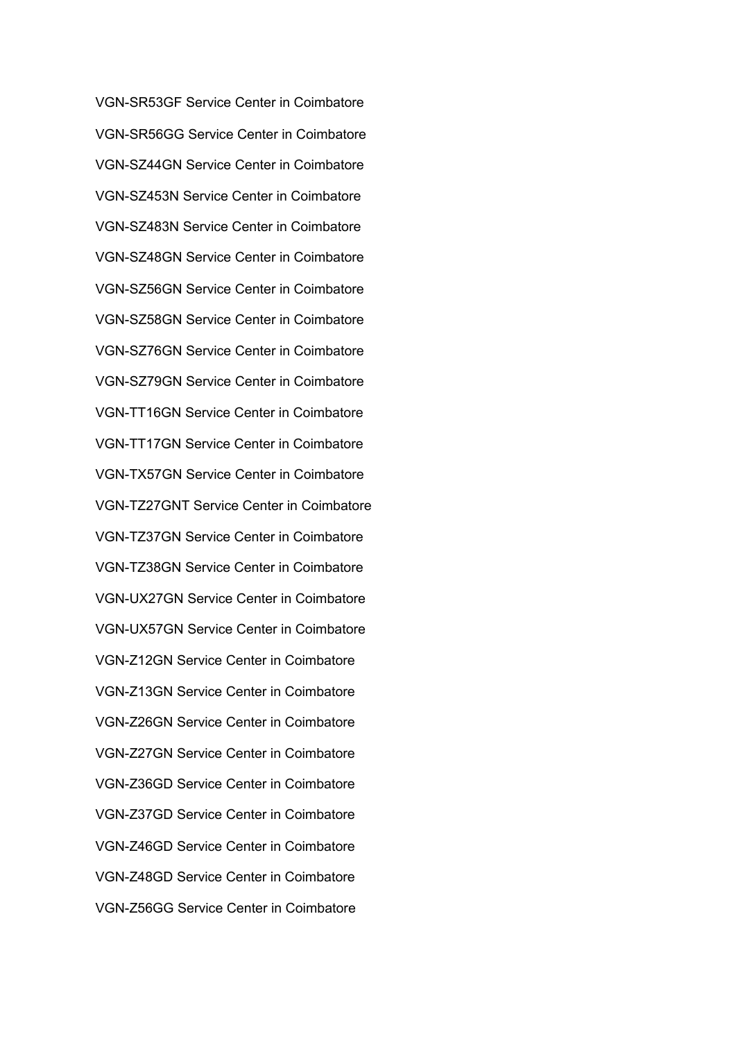VGN-SR53GF Service Center in Coimbatore VGN-SR56GG Service Center in Coimbatore VGN-SZ44GN Service Center in Coimbatore VGN-SZ453N Service Center in Coimbatore VGN-SZ483N Service Center in Coimbatore VGN-SZ48GN Service Center in Coimbatore VGN-SZ56GN Service Center in Coimbatore VGN-SZ58GN Service Center in Coimbatore VGN-SZ76GN Service Center in Coimbatore VGN-SZ79GN Service Center in Coimbatore VGN-TT16GN Service Center in Coimbatore VGN-TT17GN Service Center in Coimbatore VGN-TX57GN Service Center in Coimbatore VGN-TZ27GNT Service Center in Coimbatore VGN-TZ37GN Service Center in Coimbatore VGN-TZ38GN Service Center in Coimbatore VGN-UX27GN Service Center in Coimbatore VGN-UX57GN Service Center in Coimbatore VGN-Z12GN Service Center in Coimbatore VGN-Z13GN Service Center in Coimbatore VGN-Z26GN Service Center in Coimbatore VGN-Z27GN Service Center in Coimbatore VGN-Z36GD Service Center in Coimbatore VGN-Z37GD Service Center in Coimbatore VGN-Z46GD Service Center in Coimbatore VGN-Z48GD Service Center in Coimbatore VGN-Z56GG Service Center in Coimbatore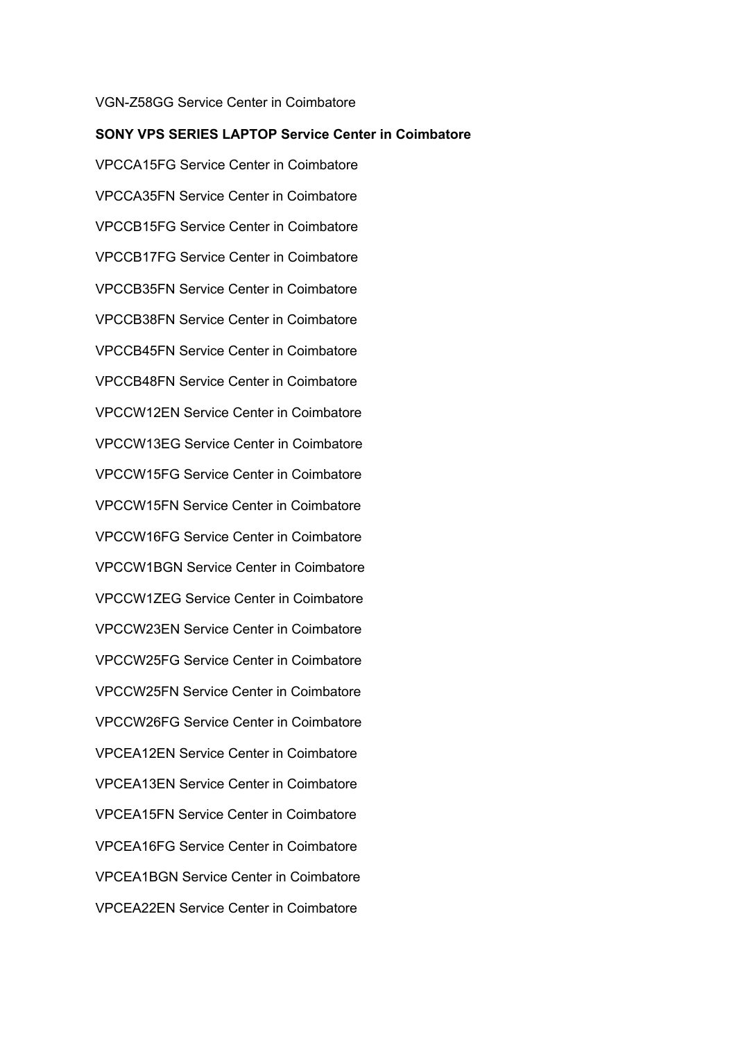## **SONY VPS SERIES LAPTOP Service Center in Coimbatore** VPCCA15FG Service Center in Coimbatore VPCCA35FN Service Center in Coimbatore VPCCB15FG Service Center in Coimbatore VPCCB17FG Service Center in Coimbatore VPCCB35FN Service Center in Coimbatore VPCCB38FN Service Center in Coimbatore VPCCB45FN Service Center in Coimbatore VPCCB48FN Service Center in Coimbatore VPCCW12EN Service Center in Coimbatore VPCCW13EG Service Center in Coimbatore VPCCW15FG Service Center in Coimbatore VPCCW15FN Service Center in Coimbatore VPCCW16FG Service Center in Coimbatore VPCCW1BGN Service Center in Coimbatore VPCCW1ZEG Service Center in Coimbatore VPCCW23EN Service Center in Coimbatore VPCCW25FG Service Center in Coimbatore VPCCW25FN Service Center in Coimbatore VPCCW26FG Service Center in Coimbatore VPCEA12EN Service Center in Coimbatore VPCEA13EN Service Center in Coimbatore VPCEA15FN Service Center in Coimbatore VPCEA16FG Service Center in Coimbatore VPCEA1BGN Service Center in Coimbatore VPCEA22EN Service Center in Coimbatore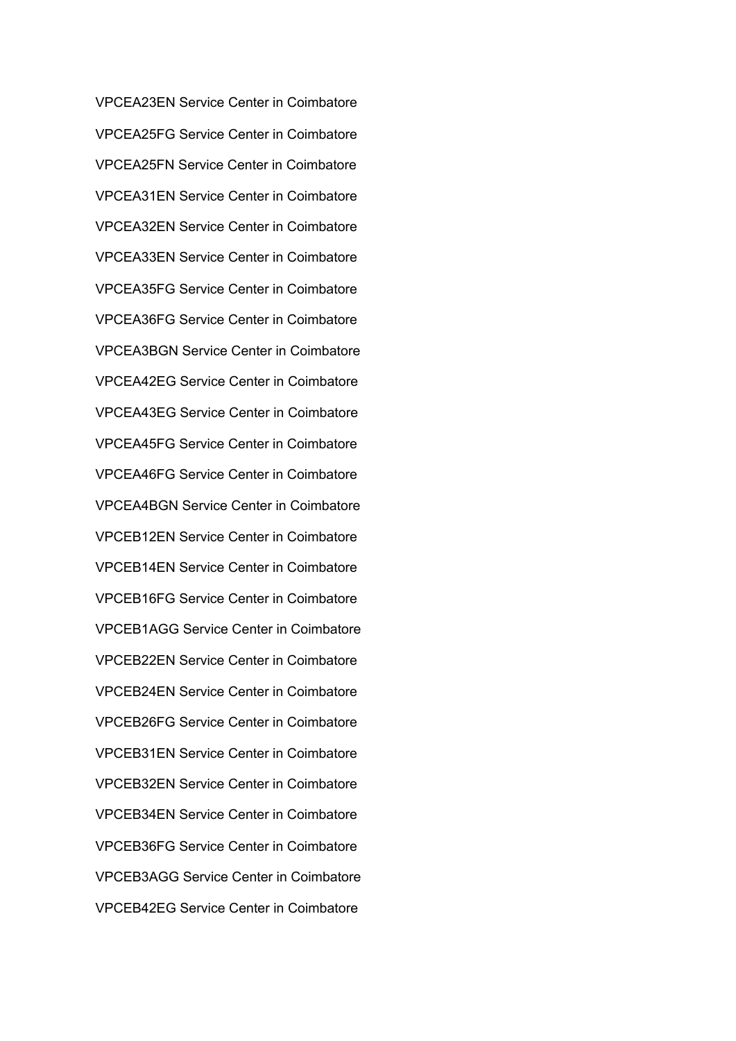VPCEA23EN Service Center in Coimbatore VPCEA25FG Service Center in Coimbatore VPCEA25FN Service Center in Coimbatore VPCEA31EN Service Center in Coimbatore VPCEA32EN Service Center in Coimbatore VPCEA33EN Service Center in Coimbatore VPCEA35FG Service Center in Coimbatore VPCEA36FG Service Center in Coimbatore VPCEA3BGN Service Center in Coimbatore VPCEA42EG Service Center in Coimbatore VPCEA43EG Service Center in Coimbatore VPCEA45FG Service Center in Coimbatore VPCEA46FG Service Center in Coimbatore VPCEA4BGN Service Center in Coimbatore VPCEB12EN Service Center in Coimbatore VPCEB14EN Service Center in Coimbatore VPCEB16FG Service Center in Coimbatore VPCEB1AGG Service Center in Coimbatore VPCEB22EN Service Center in Coimbatore VPCEB24EN Service Center in Coimbatore VPCEB26FG Service Center in Coimbatore VPCEB31EN Service Center in Coimbatore VPCEB32EN Service Center in Coimbatore VPCEB34EN Service Center in Coimbatore VPCEB36FG Service Center in Coimbatore VPCEB3AGG Service Center in Coimbatore VPCEB42EG Service Center in Coimbatore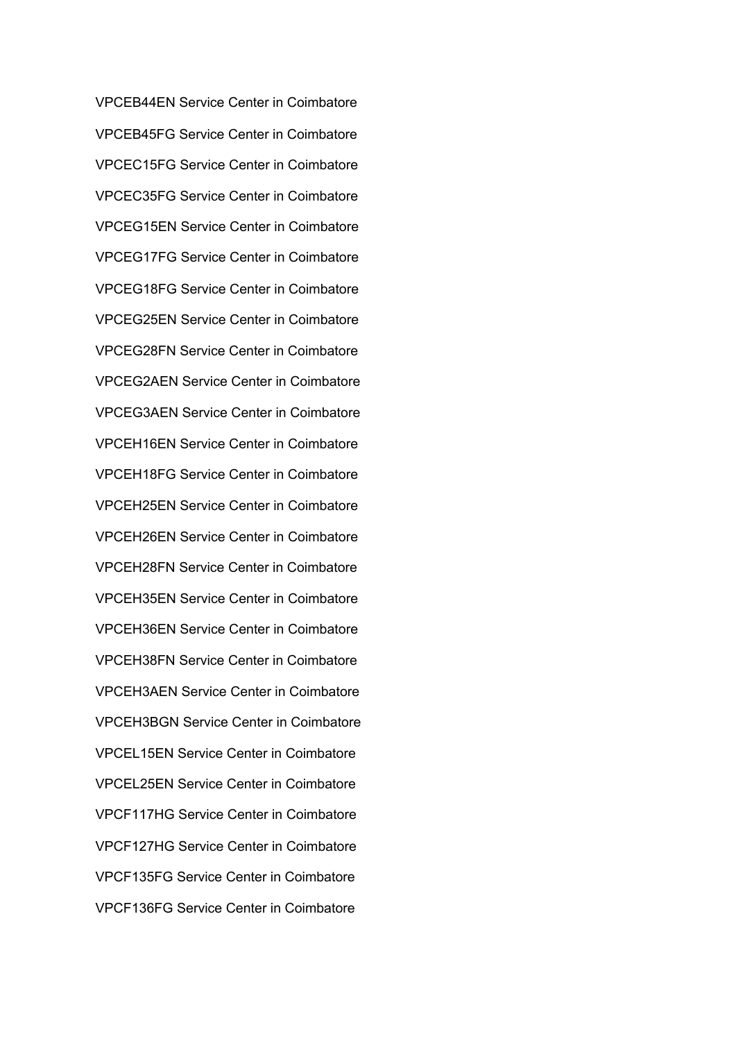VPCEB44EN Service Center in Coimbatore VPCEB45FG Service Center in Coimbatore VPCEC15FG Service Center in Coimbatore VPCEC35FG Service Center in Coimbatore VPCEG15EN Service Center in Coimbatore VPCEG17FG Service Center in Coimbatore VPCEG18FG Service Center in Coimbatore VPCEG25EN Service Center in Coimbatore VPCEG28FN Service Center in Coimbatore VPCEG2AEN Service Center in Coimbatore VPCEG3AEN Service Center in Coimbatore VPCEH16EN Service Center in Coimbatore VPCEH18FG Service Center in Coimbatore VPCEH25EN Service Center in Coimbatore VPCEH26EN Service Center in Coimbatore VPCEH28FN Service Center in Coimbatore VPCEH35EN Service Center in Coimbatore VPCEH36EN Service Center in Coimbatore VPCEH38FN Service Center in Coimbatore VPCEH3AEN Service Center in Coimbatore VPCEH3BGN Service Center in Coimbatore VPCEL15EN Service Center in Coimbatore VPCEL25EN Service Center in Coimbatore VPCF117HG Service Center in Coimbatore VPCF127HG Service Center in Coimbatore VPCF135FG Service Center in Coimbatore VPCF136FG Service Center in Coimbatore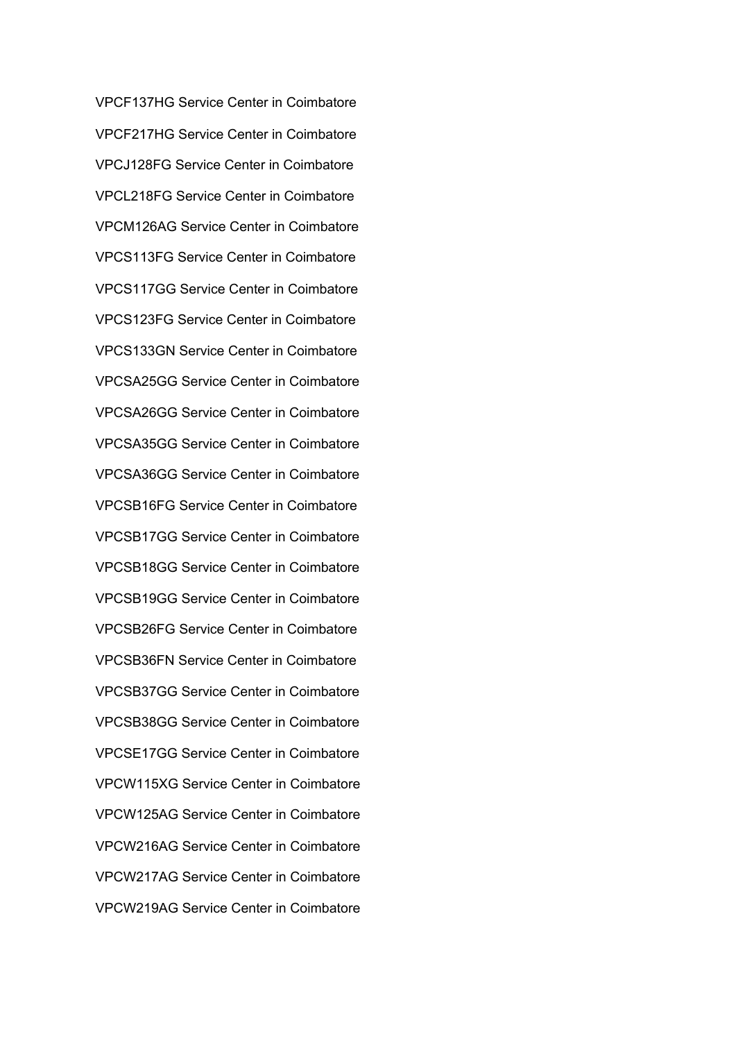VPCF137HG Service Center in Coimbatore VPCF217HG Service Center in Coimbatore VPCJ128FG Service Center in Coimbatore VPCL218FG Service Center in Coimbatore VPCM126AG Service Center in Coimbatore VPCS113FG Service Center in Coimbatore VPCS117GG Service Center in Coimbatore VPCS123FG Service Center in Coimbatore VPCS133GN Service Center in Coimbatore VPCSA25GG Service Center in Coimbatore VPCSA26GG Service Center in Coimbatore VPCSA35GG Service Center in Coimbatore VPCSA36GG Service Center in Coimbatore VPCSB16FG Service Center in Coimbatore VPCSB17GG Service Center in Coimbatore VPCSB18GG Service Center in Coimbatore VPCSB19GG Service Center in Coimbatore VPCSB26FG Service Center in Coimbatore VPCSB36FN Service Center in Coimbatore VPCSB37GG Service Center in Coimbatore VPCSB38GG Service Center in Coimbatore VPCSE17GG Service Center in Coimbatore VPCW115XG Service Center in Coimbatore VPCW125AG Service Center in Coimbatore VPCW216AG Service Center in Coimbatore VPCW217AG Service Center in Coimbatore VPCW219AG Service Center in Coimbatore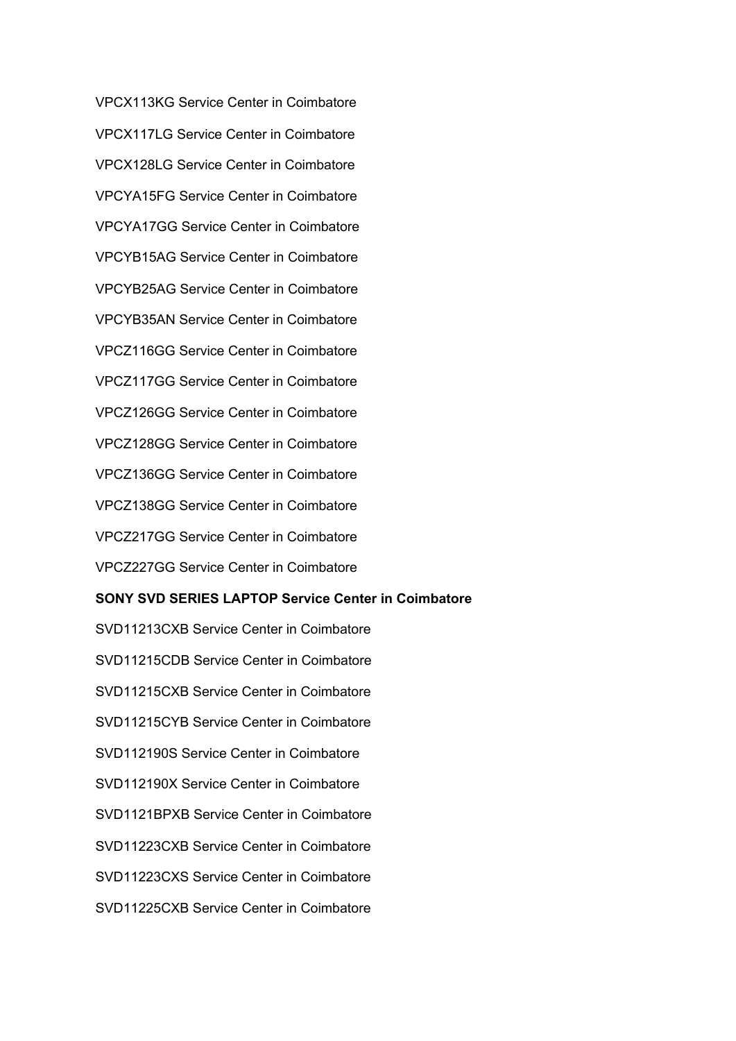VPCX113KG Service Center in Coimbatore VPCX117LG Service Center in Coimbatore VPCX128LG Service Center in Coimbatore VPCYA15FG Service Center in Coimbatore VPCYA17GG Service Center in Coimbatore VPCYB15AG Service Center in Coimbatore VPCYB25AG Service Center in Coimbatore VPCYB35AN Service Center in Coimbatore VPCZ116GG Service Center in Coimbatore VPCZ117GG Service Center in Coimbatore VPCZ126GG Service Center in Coimbatore VPCZ128GG Service Center in Coimbatore VPCZ136GG Service Center in Coimbatore VPCZ138GG Service Center in Coimbatore VPCZ217GG Service Center in Coimbatore VPCZ227GG Service Center in Coimbatore

#### **SONY SVD SERIES LAPTOP Service Center in Coimbatore**

SVD11213CXB Service Center in Coimbatore SVD11215CDB Service Center in Coimbatore SVD11215CXB Service Center in Coimbatore SVD11215CYB Service Center in Coimbatore SVD112190S Service Center in Coimbatore SVD112190X Service Center in Coimbatore SVD1121BPXB Service Center in Coimbatore SVD11223CXB Service Center in Coimbatore SVD11223CXS Service Center in Coimbatore SVD11225CXB Service Center in Coimbatore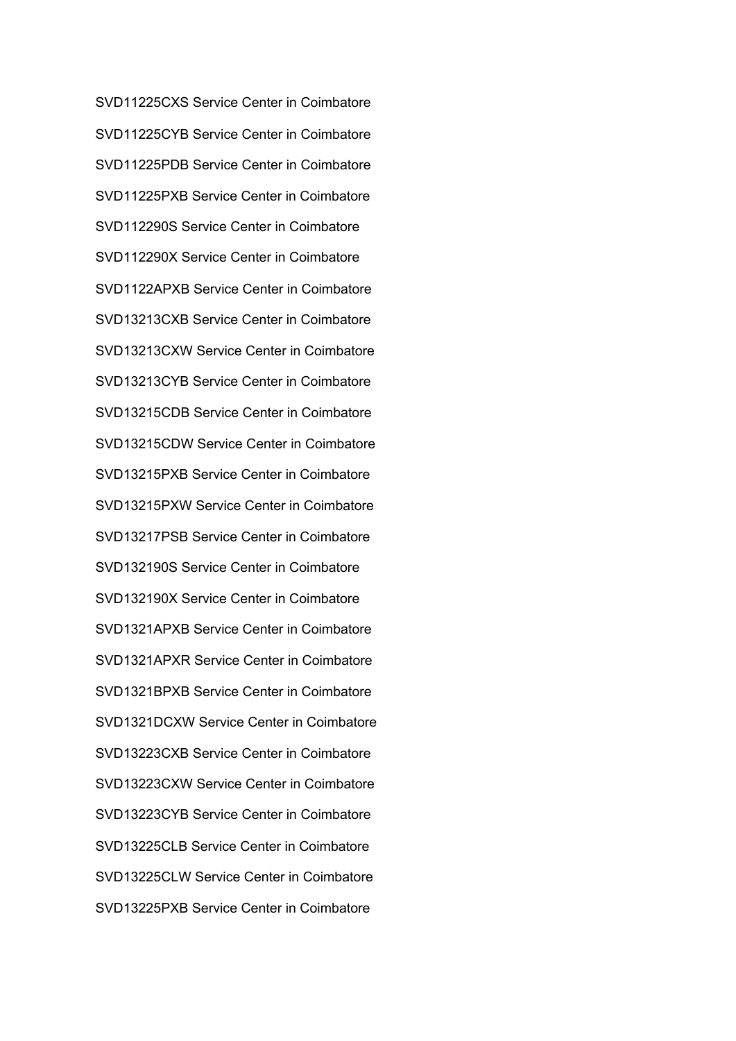SVD11225CXS Service Center in Coimbatore SVD11225CYB Service Center in Coimbatore SVD11225PDB Service Center in Coimbatore SVD11225PXB Service Center in Coimbatore SVD112290S Service Center in Coimbatore SVD112290X Service Center in Coimbatore SVD1122APXB Service Center in Coimbatore SVD13213CXB Service Center in Coimbatore SVD13213CXW Service Center in Coimbatore SVD13213CYB Service Center in Coimbatore SVD13215CDB Service Center in Coimbatore SVD13215CDW Service Center in Coimbatore SVD13215PXB Service Center in Coimbatore SVD13215PXW Service Center in Coimbatore SVD13217PSB Service Center in Coimbatore SVD132190S Service Center in Coimbatore SVD132190X Service Center in Coimbatore SVD1321APXB Service Center in Coimbatore SVD1321APXR Service Center in Coimbatore SVD1321BPXB Service Center in Coimbatore SVD1321DCXW Service Center in Coimbatore SVD13223CXB Service Center in Coimbatore SVD13223CXW Service Center in Coimbatore SVD13223CYB Service Center in Coimbatore SVD13225CLB Service Center in Coimbatore SVD13225CLW Service Center in Coimbatore SVD13225PXB Service Center in Coimbatore